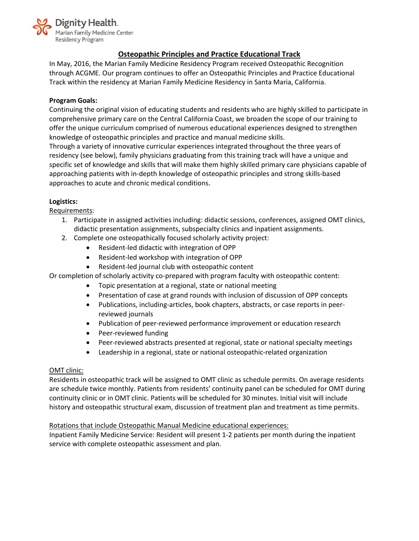

# **Osteopathic Principles and Practice Educational Track**

In May, 2016, the Marian Family Medicine Residency Program received Osteopathic Recognition through ACGME. Our program continues to offer an Osteopathic Principles and Practice Educational Track within the residency at Marian Family Medicine Residency in Santa Maria, California.

## **Program Goals:**

Continuing the original vision of educating students and residents who are highly skilled to participate in comprehensive primary care on the Central California Coast, we broaden the scope of our training to offer the unique curriculum comprised of numerous educational experiences designed to strengthen knowledge of osteopathic principles and practice and manual medicine skills.

Through a variety of innovative curricular experiences integrated throughout the three years of residency (see below), family physicians graduating from this training track will have a unique and specific set of knowledge and skills that will make them highly skilled primary care physicians capable of approaching patients with in-depth knowledge of osteopathic principles and strong skills-based approaches to acute and chronic medical conditions.

## **Logistics:**

Requirements:

- 1. Participate in assigned activities including: didactic sessions, conferences, assigned OMT clinics, didactic presentation assignments, subspecialty clinics and inpatient assignments.
- 2. Complete one osteopathically focused scholarly activity project:
	- Resident-led didactic with integration of OPP
	- Resident-led workshop with integration of OPP
	- Resident-led journal club with osteopathic content

Or completion of scholarly activity co-prepared with program faculty with osteopathic content:

- Topic presentation at a regional, state or national meeting
- Presentation of case at grand rounds with inclusion of discussion of OPP concepts
- Publications, including-articles, book chapters, abstracts, or case reports in peerreviewed journals
- Publication of peer-reviewed performance improvement or education research
- Peer-reviewed funding
- Peer-reviewed abstracts presented at regional, state or national specialty meetings
- Leadership in a regional, state or national osteopathic-related organization

### OMT clinic:

Residents in osteopathic track will be assigned to OMT clinic as schedule permits. On average residents are schedule twice monthly. Patients from residents' continuity panel can be scheduled for OMT during continuity clinic or in OMT clinic. Patients will be scheduled for 30 minutes. Initial visit will include history and osteopathic structural exam, discussion of treatment plan and treatment as time permits.

### Rotations that include Osteopathic Manual Medicine educational experiences:

Inpatient Family Medicine Service: Resident will present 1-2 patients per month during the inpatient service with complete osteopathic assessment and plan.